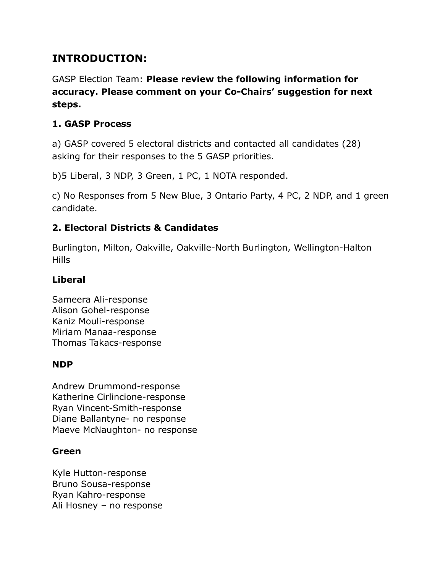# **INTRODUCTION:**

GASP Election Team: **Please review the following information for accuracy. Please comment on your Co-Chairs' suggestion for next steps.**

## **1. GASP Process**

a) GASP covered 5 electoral districts and contacted all candidates (28) asking for their responses to the 5 GASP priorities.

b)5 Liberal, 3 NDP, 3 Green, 1 PC, 1 NOTA responded.

c) No Responses from 5 New Blue, 3 Ontario Party, 4 PC, 2 NDP, and 1 green candidate.

## **2. Electoral Districts & Candidates**

Burlington, Milton, Oakville, Oakville-North Burlington, Wellington-Halton Hills

## **Liberal**

Sameera Ali-response Alison Gohel-response Kaniz Mouli-response Miriam Manaa-response Thomas Takacs-response

## **NDP**

Andrew Drummond-response Katherine Cirlincione-response Ryan Vincent-Smith-response Diane Ballantyne- no response Maeve McNaughton- no response

## **Green**

Kyle Hutton-response Bruno Sousa-response Ryan Kahro-response Ali Hosney – no response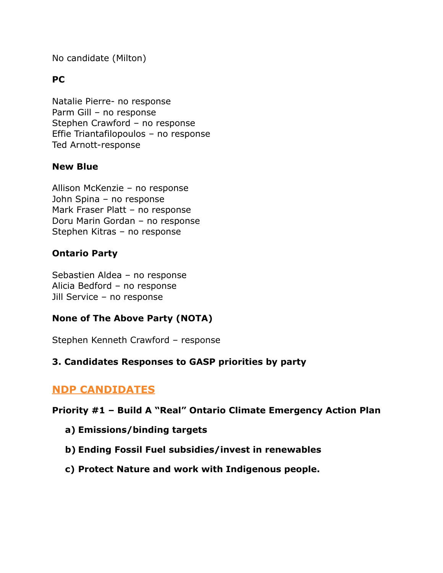No candidate (Milton)

#### **PC**

Natalie Pierre- no response Parm Gill – no response Stephen Crawford – no response Effie Triantafilopoulos – no response Ted Arnott-response

#### **New Blue**

Allison McKenzie – no response John Spina – no response Mark Fraser Platt – no response Doru Marin Gordan – no response Stephen Kitras – no response

#### **Ontario Party**

Sebastien Aldea – no response Alicia Bedford – no response Jill Service – no response

#### **None of The Above Party (NOTA)**

Stephen Kenneth Crawford – response

#### **3. Candidates Responses to GASP priorities by party**

## **NDP CANDIDATES**

**Priority #1 – Build A "Real" Ontario Climate Emergency Action Plan**

- **a) Emissions/binding targets**
- **b) Ending Fossil Fuel subsidies/invest in renewables**
- **c) Protect Nature and work with Indigenous people.**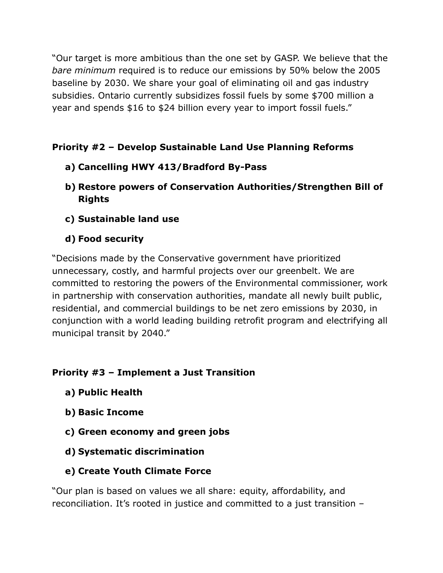"Our target is more ambitious than the one set by GASP. We believe that the *bare minimum* required is to reduce our emissions by 50% below the 2005 baseline by 2030. We share your goal of eliminating oil and gas industry subsidies. Ontario currently subsidizes fossil fuels by some \$700 million a year and spends \$16 to \$24 billion every year to import fossil fuels."

# **Priority #2 – Develop Sustainable Land Use Planning Reforms**

- **a) Cancelling HWY 413/Bradford By-Pass**
- **b) Restore powers of Conservation Authorities/Strengthen Bill of Rights**
- **c) Sustainable land use**
- **d) Food security**

"Decisions made by the Conservative government have prioritized unnecessary, costly, and harmful projects over our greenbelt. We are committed to restoring the powers of the Environmental commissioner, work in partnership with conservation authorities, mandate all newly built public, residential, and commercial buildings to be net zero emissions by 2030, in conjunction with a world leading building retrofit program and electrifying all municipal transit by 2040."

## **Priority #3 – Implement a Just Transition**

- **a) Public Health**
- **b) Basic Income**
- **c) Green economy and green jobs**
- **d) Systematic discrimination**
- **e) Create Youth Climate Force**

"Our plan is based on values we all share: equity, affordability, and reconciliation. It's rooted in justice and committed to a just transition –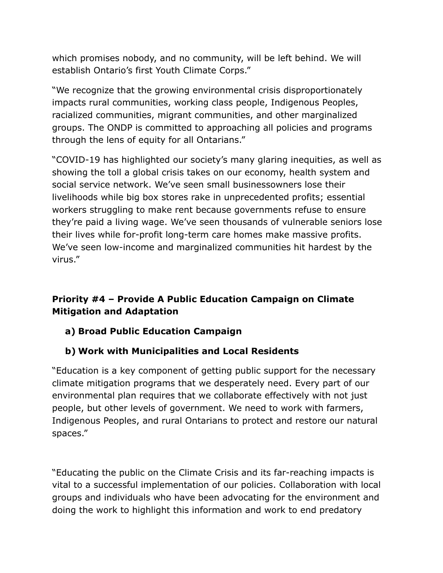which promises nobody, and no community, will be left behind. We will establish Ontario's first Youth Climate Corps."

"We recognize that the growing environmental crisis disproportionately impacts rural communities, working class people, Indigenous Peoples, racialized communities, migrant communities, and other marginalized groups. The ONDP is committed to approaching all policies and programs through the lens of equity for all Ontarians."

"COVID-19 has highlighted our society's many glaring inequities, as well as showing the toll a global crisis takes on our economy, health system and social service network. We've seen small businessowners lose their livelihoods while big box stores rake in unprecedented profits; essential workers struggling to make rent because governments refuse to ensure they're paid a living wage. We've seen thousands of vulnerable seniors lose their lives while for-profit long-term care homes make massive profits. We've seen low-income and marginalized communities hit hardest by the virus."

# **Priority #4 – Provide A Public Education Campaign on Climate Mitigation and Adaptation**

# **a) Broad Public Education Campaign**

## **b) Work with Municipalities and Local Residents**

"Education is a key component of getting public support for the necessary climate mitigation programs that we desperately need. Every part of our environmental plan requires that we collaborate effectively with not just people, but other levels of government. We need to work with farmers, Indigenous Peoples, and rural Ontarians to protect and restore our natural spaces."

"Educating the public on the Climate Crisis and its far-reaching impacts is vital to a successful implementation of our policies. Collaboration with local groups and individuals who have been advocating for the environment and doing the work to highlight this information and work to end predatory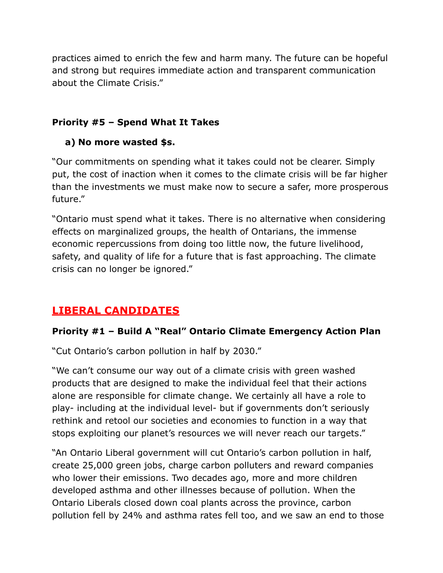practices aimed to enrich the few and harm many. The future can be hopeful and strong but requires immediate action and transparent communication about the Climate Crisis."

#### **Priority #5 – Spend What It Takes**

## **a) No more wasted \$s.**

"Our commitments on spending what it takes could not be clearer. Simply put, the cost of inaction when it comes to the climate crisis will be far higher than the investments we must make now to secure a safer, more prosperous future."

"Ontario must spend what it takes. There is no alternative when considering effects on marginalized groups, the health of Ontarians, the immense economic repercussions from doing too little now, the future livelihood, safety, and quality of life for a future that is fast approaching. The climate crisis can no longer be ignored."

# **LIBERAL CANDIDATES**

## **Priority #1 – Build A "Real" Ontario Climate Emergency Action Plan**

"Cut Ontario's carbon pollution in half by 2030."

"We can't consume our way out of a climate crisis with green washed products that are designed to make the individual feel that their actions alone are responsible for climate change. We certainly all have a role to play- including at the individual level- but if governments don't seriously rethink and retool our societies and economies to function in a way that stops exploiting our planet's resources we will never reach our targets."

"An Ontario Liberal government will cut Ontario's carbon pollution in half, create 25,000 green jobs, charge carbon polluters and reward companies who lower their emissions. Two decades ago, more and more children developed asthma and other illnesses because of pollution. When the Ontario Liberals closed down coal plants across the province, carbon pollution fell by 24% and asthma rates fell too, and we saw an end to those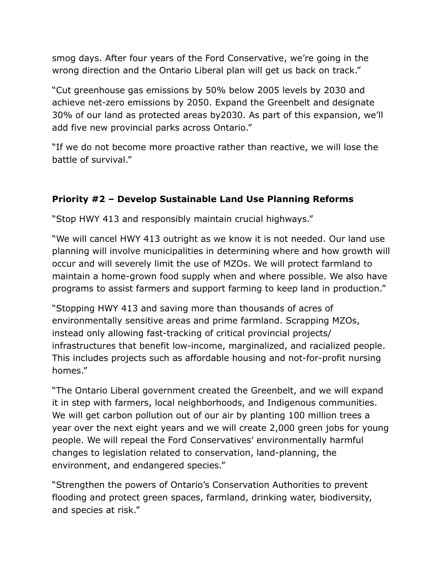smog days. After four years of the Ford Conservative, we're going in the wrong direction and the Ontario Liberal plan will get us back on track."

"Cut greenhouse gas emissions by 50% below 2005 levels by 2030 and achieve net-zero emissions by 2050. Expand the Greenbelt and designate 30% of our land as protected areas by2030. As part of this expansion, we'll add five new provincial parks across Ontario."

"If we do not become more proactive rather than reactive, we will lose the battle of survival."

## **Priority #2 – Develop Sustainable Land Use Planning Reforms**

"Stop HWY 413 and responsibly maintain crucial highways."

"We will cancel HWY 413 outright as we know it is not needed. Our land use planning will involve municipalities in determining where and how growth will occur and will severely limit the use of MZOs. We will protect farmland to maintain a home-grown food supply when and where possible. We also have programs to assist farmers and support farming to keep land in production."

"Stopping HWY 413 and saving more than thousands of acres of environmentally sensitive areas and prime farmland. Scrapping MZOs, instead only allowing fast-tracking of critical provincial projects/ infrastructures that benefit low-income, marginalized, and racialized people. This includes projects such as affordable housing and not-for-profit nursing homes."

"The Ontario Liberal government created the Greenbelt, and we will expand it in step with farmers, local neighborhoods, and Indigenous communities. We will get carbon pollution out of our air by planting 100 million trees a year over the next eight years and we will create 2,000 green jobs for young people. We will repeal the Ford Conservatives' environmentally harmful changes to legislation related to conservation, land-planning, the environment, and endangered species."

"Strengthen the powers of Ontario's Conservation Authorities to prevent flooding and protect green spaces, farmland, drinking water, biodiversity, and species at risk."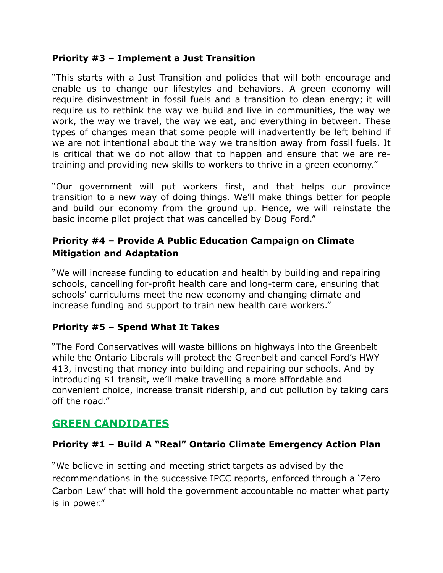#### **Priority #3 – Implement a Just Transition**

"This starts with a Just Transition and policies that will both encourage and enable us to change our lifestyles and behaviors. A green economy will require disinvestment in fossil fuels and a transition to clean energy; it will require us to rethink the way we build and live in communities, the way we work, the way we travel, the way we eat, and everything in between. These types of changes mean that some people will inadvertently be left behind if we are not intentional about the way we transition away from fossil fuels. It is critical that we do not allow that to happen and ensure that we are retraining and providing new skills to workers to thrive in a green economy."

"Our government will put workers first, and that helps our province transition to a new way of doing things. We'll make things better for people and build our economy from the ground up. Hence, we will reinstate the basic income pilot project that was cancelled by Doug Ford."

#### **Priority #4 – Provide A Public Education Campaign on Climate Mitigation and Adaptation**

"We will increase funding to education and health by building and repairing schools, cancelling for-profit health care and long-term care, ensuring that schools' curriculums meet the new economy and changing climate and increase funding and support to train new health care workers."

#### **Priority #5 – Spend What It Takes**

"The Ford Conservatives will waste billions on highways into the Greenbelt while the Ontario Liberals will protect the Greenbelt and cancel Ford's HWY 413, investing that money into building and repairing our schools. And by introducing \$1 transit, we'll make travelling a more affordable and convenient choice, increase transit ridership, and cut pollution by taking cars off the road."

## **GREEN CANDIDATES**

#### **Priority #1 – Build A "Real" Ontario Climate Emergency Action Plan**

"We believe in setting and meeting strict targets as advised by the recommendations in the successive IPCC reports, enforced through a 'Zero Carbon Law' that will hold the government accountable no matter what party is in power."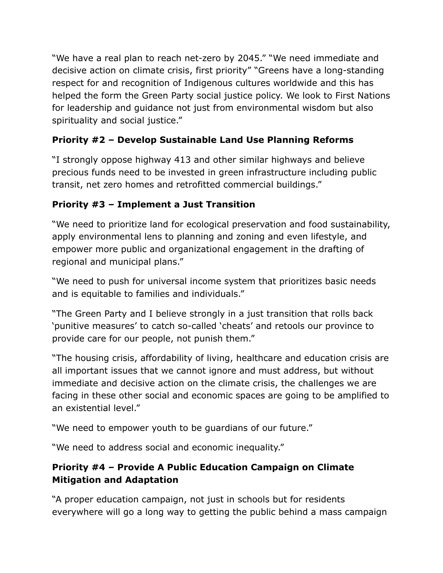"We have a real plan to reach net-zero by 2045." "We need immediate and decisive action on climate crisis, first priority" "Greens have a long-standing respect for and recognition of Indigenous cultures worldwide and this has helped the form the Green Party social justice policy. We look to First Nations for leadership and guidance not just from environmental wisdom but also spirituality and social justice."

# **Priority #2 – Develop Sustainable Land Use Planning Reforms**

"I strongly oppose highway 413 and other similar highways and believe precious funds need to be invested in green infrastructure including public transit, net zero homes and retrofitted commercial buildings."

# **Priority #3 – Implement a Just Transition**

"We need to prioritize land for ecological preservation and food sustainability, apply environmental lens to planning and zoning and even lifestyle, and empower more public and organizational engagement in the drafting of regional and municipal plans."

"We need to push for universal income system that prioritizes basic needs and is equitable to families and individuals."

"The Green Party and I believe strongly in a just transition that rolls back 'punitive measures' to catch so-called 'cheats' and retools our province to provide care for our people, not punish them."

"The housing crisis, affordability of living, healthcare and education crisis are all important issues that we cannot ignore and must address, but without immediate and decisive action on the climate crisis, the challenges we are facing in these other social and economic spaces are going to be amplified to an existential level."

"We need to empower youth to be guardians of our future."

"We need to address social and economic inequality."

# **Priority #4 – Provide A Public Education Campaign on Climate Mitigation and Adaptation**

"A proper education campaign, not just in schools but for residents everywhere will go a long way to getting the public behind a mass campaign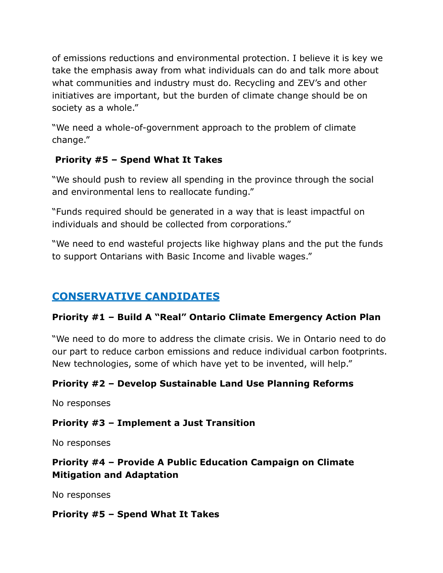of emissions reductions and environmental protection. I believe it is key we take the emphasis away from what individuals can do and talk more about what communities and industry must do. Recycling and ZEV's and other initiatives are important, but the burden of climate change should be on society as a whole."

"We need a whole-of-government approach to the problem of climate change."

## **Priority #5 – Spend What It Takes**

"We should push to review all spending in the province through the social and environmental lens to reallocate funding."

"Funds required should be generated in a way that is least impactful on individuals and should be collected from corporations."

"We need to end wasteful projects like highway plans and the put the funds to support Ontarians with Basic Income and livable wages."

# **CONSERVATIVE CANDIDATES**

## **Priority #1 – Build A "Real" Ontario Climate Emergency Action Plan**

"We need to do more to address the climate crisis. We in Ontario need to do our part to reduce carbon emissions and reduce individual carbon footprints. New technologies, some of which have yet to be invented, will help."

## **Priority #2 – Develop Sustainable Land Use Planning Reforms**

No responses

## **Priority #3 – Implement a Just Transition**

No responses

## **Priority #4 – Provide A Public Education Campaign on Climate Mitigation and Adaptation**

No responses

#### **Priority #5 – Spend What It Takes**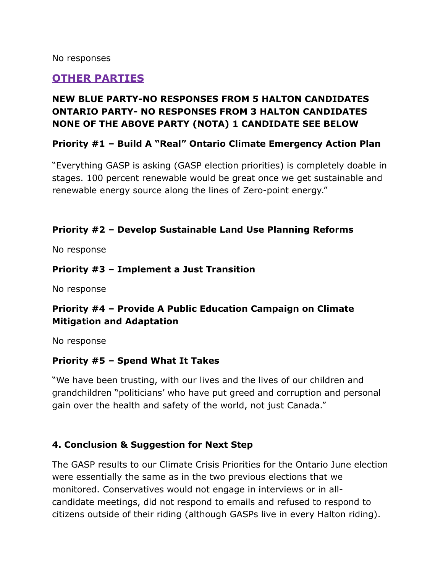No responses

## **OTHER PARTIES**

## **NEW BLUE PARTY-NO RESPONSES FROM 5 HALTON CANDIDATES ONTARIO PARTY- NO RESPONSES FROM 3 HALTON CANDIDATES NONE OF THE ABOVE PARTY (NOTA) 1 CANDIDATE SEE BELOW**

#### **Priority #1 – Build A "Real" Ontario Climate Emergency Action Plan**

"Everything GASP is asking (GASP election priorities) is completely doable in stages. 100 percent renewable would be great once we get sustainable and renewable energy source along the lines of Zero-point energy."

#### **Priority #2 – Develop Sustainable Land Use Planning Reforms**

No response

#### **Priority #3 – Implement a Just Transition**

No response

#### **Priority #4 – Provide A Public Education Campaign on Climate Mitigation and Adaptation**

No response

#### **Priority #5 – Spend What It Takes**

"We have been trusting, with our lives and the lives of our children and grandchildren "politicians' who have put greed and corruption and personal gain over the health and safety of the world, not just Canada."

#### **4. Conclusion & Suggestion for Next Step**

The GASP results to our Climate Crisis Priorities for the Ontario June election were essentially the same as in the two previous elections that we monitored. Conservatives would not engage in interviews or in allcandidate meetings, did not respond to emails and refused to respond to citizens outside of their riding (although GASPs live in every Halton riding).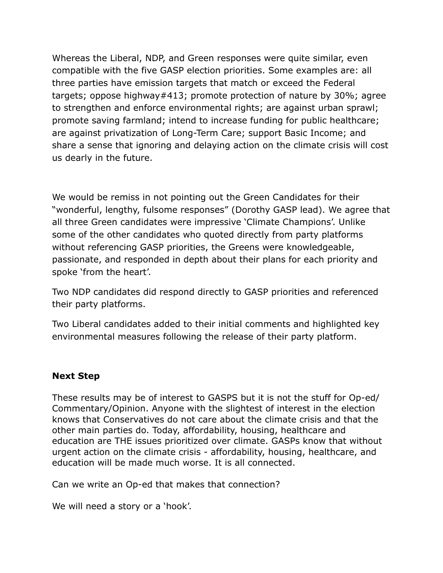Whereas the Liberal, NDP, and Green responses were quite similar, even compatible with the five GASP election priorities. Some examples are: all three parties have emission targets that match or exceed the Federal targets; oppose highway#413; promote protection of nature by 30%; agree to strengthen and enforce environmental rights; are against urban sprawl; promote saving farmland; intend to increase funding for public healthcare; are against privatization of Long-Term Care; support Basic Income; and share a sense that ignoring and delaying action on the climate crisis will cost us dearly in the future.

We would be remiss in not pointing out the Green Candidates for their "wonderful, lengthy, fulsome responses" (Dorothy GASP lead). We agree that all three Green candidates were impressive 'Climate Champions'. Unlike some of the other candidates who quoted directly from party platforms without referencing GASP priorities, the Greens were knowledgeable, passionate, and responded in depth about their plans for each priority and spoke 'from the heart'.

Two NDP candidates did respond directly to GASP priorities and referenced their party platforms.

Two Liberal candidates added to their initial comments and highlighted key environmental measures following the release of their party platform.

#### **Next Step**

These results may be of interest to GASPS but it is not the stuff for Op-ed/ Commentary/Opinion. Anyone with the slightest of interest in the election knows that Conservatives do not care about the climate crisis and that the other main parties do. Today, affordability, housing, healthcare and education are THE issues prioritized over climate. GASPs know that without urgent action on the climate crisis - affordability, housing, healthcare, and education will be made much worse. It is all connected.

Can we write an Op-ed that makes that connection?

We will need a story or a 'hook'.